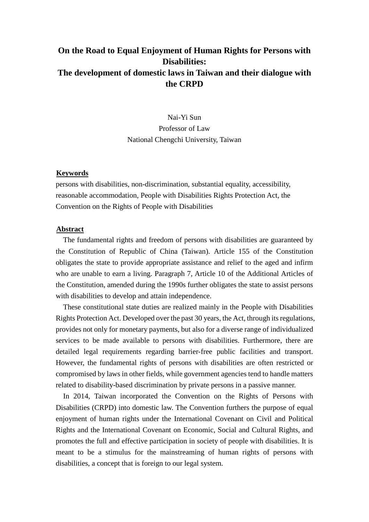## **On the Road to Equal Enjoyment of Human Rights for Persons with Disabilities: The development of domestic laws in Taiwan and their dialogue with the CRPD**

Nai-Yi Sun Professor of Law National Chengchi University, Taiwan

## <sup>U</sup>**Keywords**

persons with disabilities, non-discrimination, substantial equality, accessibility, reasonable accommodation, People with Disabilities Rights Protection Act, the Convention on the Rights of People with Disabilities

## <sup>U</sup>**Abstract**

The fundamental rights and freedom of persons with disabilities are guaranteed by the Constitution of Republic of China (Taiwan). Article 155 of the Constitution obligates the state to provide appropriate assistance and relief to the aged and infirm who are unable to earn a living. Paragraph 7, Article 10 of the Additional Articles of the Constitution, amended during the 1990s further obligates the state to assist persons with disabilities to develop and attain independence.

These constitutional state duties are realized mainly in the People with Disabilities Rights Protection Act. Developed over the past 30 years, the Act, through its regulations, provides not only for monetary payments, but also for a diverse range of individualized services to be made available to persons with disabilities. Furthermore, there are detailed legal requirements regarding barrier-free public facilities and transport. However, the fundamental rights of persons with disabilities are often restricted or compromised by laws in other fields, while government agencies tend to handle matters related to disability-based discrimination by private persons in a passive manner.

In 2014, Taiwan incorporated the Convention on the Rights of Persons with Disabilities (CRPD) into domestic law. The Convention furthers the purpose of equal enjoyment of human rights under the International Covenant on Civil and Political Rights and the International Covenant on Economic, Social and Cultural Rights, and promotes the full and effective participation in society of people with disabilities. It is meant to be a stimulus for the mainstreaming of human rights of persons with disabilities, a concept that is foreign to our legal system.